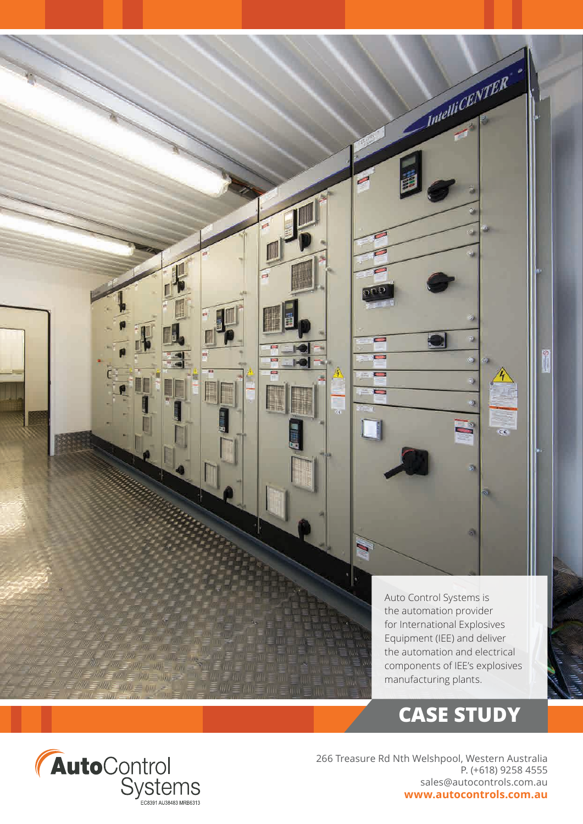

# AutoControl<br>Systems

266 Treasure Rd Nth Welshpool, Western Australia P. (+618) 9258 4555 sales@autocontrols.com.au **www.autocontrols.com.au**